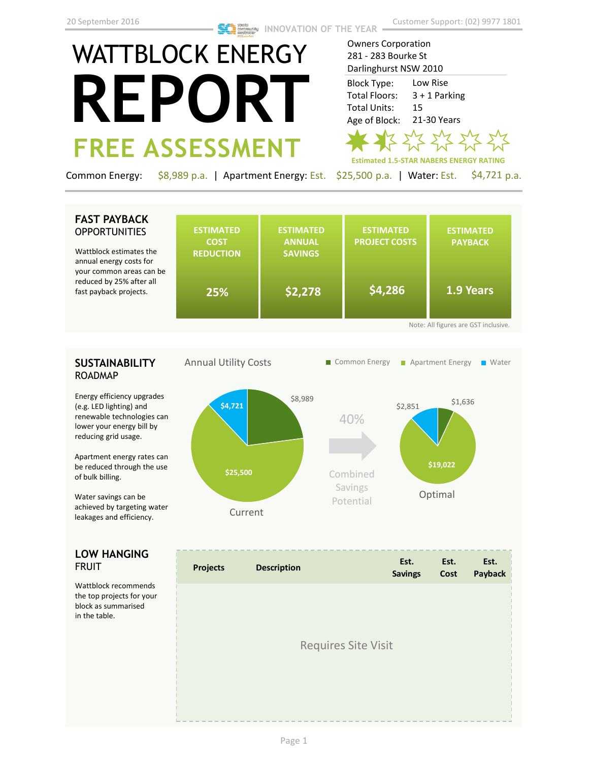Owners Corporation 281 - 283 Bourke St

# WATTBLOCK ENERGY **REPORT FREE ASSESSMENT**

Darlinghurst NSW 2010 Low Rise 3 + 1 Parking 15 21-30 Years Block Type: Total Floors: Total Units: Age of Block:



Common Energy: \$8,989 p.a. | Apartment Energy: Est. \$25,500 p.a. | Water: Est. \$4,721 p.a.

# **FAST PAYBACK OPPORTUNITIES**

Wattblock estimates the annual energy costs for your common areas car reduced by 25% after a fast payback projects.

| be ו |     |         |         |           |
|------|-----|---------|---------|-----------|
|      | 25% | \$2,278 | \$4,286 | 1.9 Years |

# **SUSTAINABILITY** ROADMAP

Energy efficiency upgrades (e.g. LED lighting) and renewable technologies can lower your energy bill by reducing grid usage.

Apartment energy rates can be reduced through the use of bulk billing.

Water savings can be achieved by targeting water leakages and efficiency.

# **LOW HANGING**  FRUIT

Wattblock recommends the top projects for your block as summarised in the table.



| <b>Projects</b> | <b>Description</b>         | Est.<br><b>Savings</b> | Est.<br>Cost | Est.<br>Payback |
|-----------------|----------------------------|------------------------|--------------|-----------------|
|                 |                            |                        |              |                 |
|                 | <b>Requires Site Visit</b> |                        |              |                 |
|                 |                            |                        |              |                 |